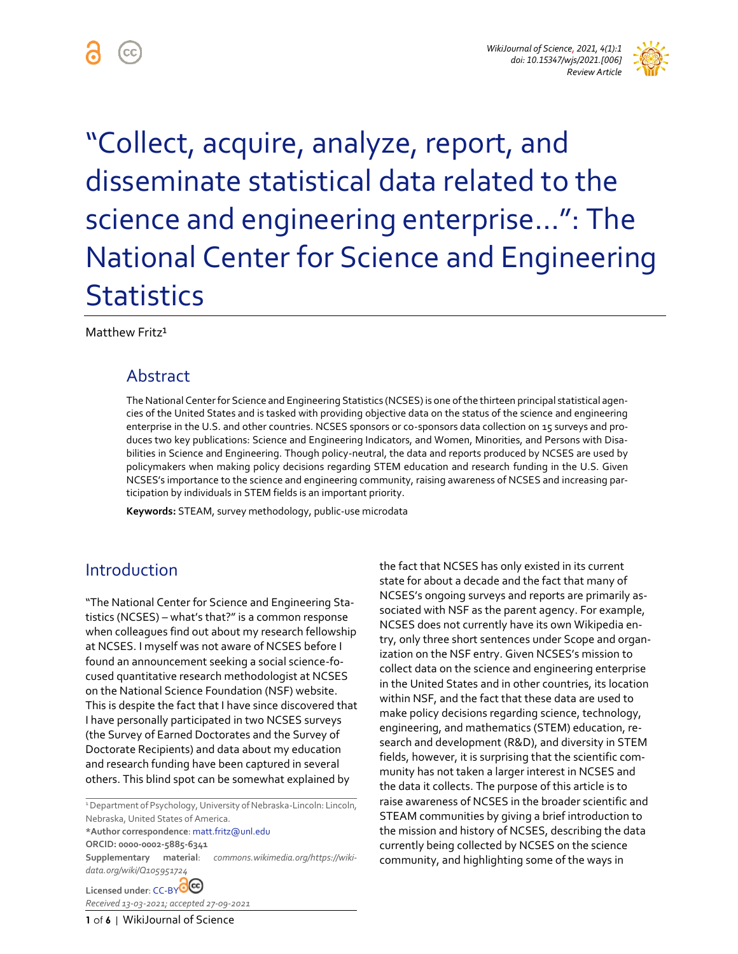

"Collect, acquire, analyze, report, and disseminate statistical data related to the science and engineering enterprise…": The National Center for Science and Engineering **Statistics** 

Matthew Fritz<sup>1</sup>

## Abstract

The National Center for Science and Engineering Statistics (NCSES) is one of the thirteen principal statistical agencies of the United States and is tasked with providing objective data on the status of the science and engineering enterprise in the U.S. and other countries. NCSES sponsors or co-sponsors data collection on 15 surveys and produces two key publications: Science and Engineering Indicators, and Women, Minorities, and Persons with Disabilities in Science and Engineering. Though policy-neutral, the data and reports produced by NCSES are used by policymakers when making policy decisions regarding STEM education and research funding in the U.S. Given NCSES's importance to the science and engineering community, raising awareness of NCSES and increasing participation by individuals in STEM fields is an important priority.

**Keywords:** STEAM, survey methodology, public-use microdata

## Introduction

"The National Center for Science and Engineering Statistics (NCSES) – what's that?" is a common response when colleagues find out about my research fellowship at NCSES. I myself was not aware of NCSES before I found an announcement seeking a social science-focused quantitative research methodologist at NCSES on the National Science Foundation (NSF) website. This is despite the fact that I have since discovered that I have personally participated in two NCSES surveys (the Survey of Earned Doctorates and the Survey of Doctorate Recipients) and data about my education and research funding have been captured in several others. This blind spot can be somewhat explained by

<sup>1</sup> Department of Psychology, University of Nebraska-Lincoln: Lincoln, Nebraska, United States of America.

**\*Author correspondence**: matt.fritz@unl.edu **ORCID: 0000-0002-5885-6341 Supplementary material**: *commons.wikimedia.org/https://wikidata.org/wiki/Q105951724*

Licensed under[: CC-BY](https://creativecommons.org/licenses/by/4.0/)<sup>OCC</sup> *Received 13-03-2021; accepted 27-09-2021* the fact that NCSES has only existed in its current state for about a decade and the fact that many of NCSES's ongoing surveys and reports are primarily associated with NSF as the parent agency. For example, NCSES does not currently have its own Wikipedia entry, only three short sentences under Scope and organization on the NSF entry. Given NCSES's mission to collect data on the science and engineering enterprise in the United States and in other countries, its location within NSF, and the fact that these data are used to make policy decisions regarding science, technology, engineering, and mathematics (STEM) education, research and development (R&D), and diversity in STEM fields, however, it is surprising that the scientific community has not taken a larger interest in NCSES and the data it collects. The purpose of this article is to raise awareness of NCSES in the broader scientific and STEAM communities by giving a brief introduction to the mission and history of NCSES, describing the data currently being collected by NCSES on the science community, and highlighting some of the ways in

**1** of **6** | WikiJournal of Science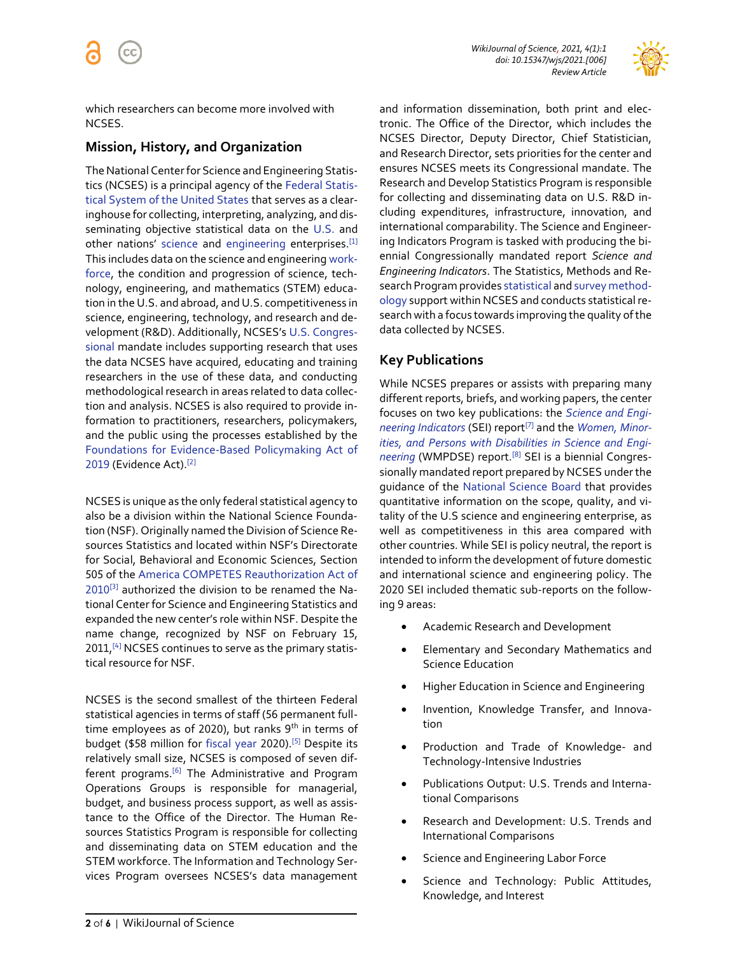

which researchers can become more involved with NCSES.

### **Mission, History, and Organization**

The National Center for Science and Engineering Statistics (NCSES) is a principal agency of the [Federal Statis](https://en.wikipedia.org/wiki/Federal_Statistical_System_of_the_United_States)[tical System of the United States](https://en.wikipedia.org/wiki/Federal_Statistical_System_of_the_United_States) that serves as a clearinghouse for collecting, interpreting, analyzing, and disseminating objective statistical data on the [U.S.](https://en.wikipedia.org/wiki/United_States) and other nations' [science](https://en.wikipedia.org/wiki/Science) and [engineering](https://en.wikipedia.org/wiki/Engineering) enterprises.<sup>[\[1\]](https://en.wikiversity.org/wiki/WikiJournal_of_Science/%E2%80%9CCollect,_acquire,_analyze,_report,_and_disseminate_statistical_data_related_to_the_science_and_engineering_enterprise%E2%80%A6%E2%80%9D:_The_National_Center_for_Science_and_Engineering_Statistics#cite_note-3)</sup> This includes data on the science and engineerin[g work](https://en.wikipedia.org/wiki/Workforce)[force,](https://en.wikipedia.org/wiki/Workforce) the condition and progression of science, technology, engineering, and mathematics (STEM) education in the U.S. and abroad, and U.S. competitiveness in science, engineering, technology, and research and development (R&D). Additionally, NCSES's [U.S. Congres](https://en.wikipedia.org/wiki/united_states_congress)[sional](https://en.wikipedia.org/wiki/united_states_congress) mandate includes supporting research that uses the data NCSES have acquired, educating and training researchers in the use of these data, and conducting methodological research in areas related to data collection and analysis. NCSES is also required to provide information to practitioners, researchers, policymakers, and the public using the processes established by the [Foundations for Evidence-Based Policymaking Act of](https://en.wikipedia.org/wiki/Foundations_for_Evidence-Based_Policymaking_Act)  [2019](https://en.wikipedia.org/wiki/Foundations_for_Evidence-Based_Policymaking_Act) (Evidence Act).<sup>[\[2\]](https://en.wikiversity.org/wiki/WikiJournal_of_Science/%E2%80%9CCollect,_acquire,_analyze,_report,_and_disseminate_statistical_data_related_to_the_science_and_engineering_enterprise%E2%80%A6%E2%80%9D:_The_National_Center_for_Science_and_Engineering_Statistics#cite_note-4)</sup>

NCSES is unique as the only federal statistical agency to also be a division within the National Science Foundation (NSF). Originally named the Division of Science Resources Statistics and located within NSF's Directorate for Social, Behavioral and Economic Sciences, Section 505 of the [America COMPETES Reauthorization Act of](https://en.wikipedia.org/wiki/America_COMPETES_Act)  [2010](https://en.wikipedia.org/wiki/America_COMPETES_Act)<sup>[\[3\]](https://en.wikiversity.org/wiki/WikiJournal_of_Science/%E2%80%9CCollect,_acquire,_analyze,_report,_and_disseminate_statistical_data_related_to_the_science_and_engineering_enterprise%E2%80%A6%E2%80%9D:_The_National_Center_for_Science_and_Engineering_Statistics#cite_note-5)</sup> authorized the division to be renamed the National Center for Science and Engineering Statistics and expanded the new center's role within NSF. Despite the name change, recognized by NSF on February 15, 2011,<sup>[\[4\]](https://en.wikiversity.org/wiki/WikiJournal_of_Science/%E2%80%9CCollect,_acquire,_analyze,_report,_and_disseminate_statistical_data_related_to_the_science_and_engineering_enterprise%E2%80%A6%E2%80%9D:_The_National_Center_for_Science_and_Engineering_Statistics#cite_note-6)</sup> NCSES continues to serve as the primary statistical resource for NSF.

NCSES is the second smallest of the thirteen Federal statistical agencies in terms of staff (56 permanent fulltime employees as of 2020), but ranks  $9<sup>th</sup>$  in terms of budget (\$58 million for [fiscal year](https://en.wikipedia.org/wiki/Fiscal_year) 2020).<sup>[\[5\]](https://en.wikiversity.org/wiki/WikiJournal_of_Science/%E2%80%9CCollect,_acquire,_analyze,_report,_and_disseminate_statistical_data_related_to_the_science_and_engineering_enterprise%E2%80%A6%E2%80%9D:_The_National_Center_for_Science_and_Engineering_Statistics#cite_note-7)</sup> Despite its relatively small size, NCSES is composed of seven dif-ferent programs.<sup>[\[6\]](https://en.wikiversity.org/wiki/WikiJournal_of_Science/%E2%80%9CCollect,_acquire,_analyze,_report,_and_disseminate_statistical_data_related_to_the_science_and_engineering_enterprise%E2%80%A6%E2%80%9D:_The_National_Center_for_Science_and_Engineering_Statistics#cite_note-:0-8)</sup> The Administrative and Program Operations Groups is responsible for managerial, budget, and business process support, as well as assistance to the Office of the Director. The Human Resources Statistics Program is responsible for collecting and disseminating data on STEM education and the STEM workforce. The Information and Technology Services Program oversees NCSES's data management

and information dissemination, both print and electronic. The Office of the Director, which includes the NCSES Director, Deputy Director, Chief Statistician, and Research Director, sets priorities for the center and ensures NCSES meets its Congressional mandate. The Research and Develop Statistics Program is responsible for collecting and disseminating data on U.S. R&D including expenditures, infrastructure, innovation, and international comparability. The Science and Engineering Indicators Program is tasked with producing the biennial Congressionally mandated report *Science and Engineering Indicators*. The Statistics, Methods and Research Program provide[s statistical](https://en.wikipedia.org/wiki/Statistics) an[d survey method](https://en.wikipedia.org/wiki/Survey_methodology)[ology](https://en.wikipedia.org/wiki/Survey_methodology) support within NCSES and conducts statistical research with a focus towards improving the quality of the data collected by NCSES.

## **Key Publications**

While NCSES prepares or assists with preparing many different reports, briefs, and working papers, the center focuses on two key publications: the *[Science and Engi](https://ncses.nsf.gov/indicators)[neering Indicators](https://ncses.nsf.gov/indicators)* (SEI) report[\[7\]](https://en.wikiversity.org/wiki/WikiJournal_of_Science/%E2%80%9CCollect,_acquire,_analyze,_report,_and_disseminate_statistical_data_related_to_the_science_and_engineering_enterprise%E2%80%A6%E2%80%9D:_The_National_Center_for_Science_and_Engineering_Statistics#cite_note-9) and the *[Women, Minor](https://ncses.nsf.gov/pubs/nsf21321)[ities, and Persons with Disabilities in Science and Engi](https://ncses.nsf.gov/pubs/nsf21321)[neering](https://ncses.nsf.gov/pubs/nsf21321)* (WMPDSE) report.[\[8\]](https://en.wikiversity.org/wiki/WikiJournal_of_Science/%E2%80%9CCollect,_acquire,_analyze,_report,_and_disseminate_statistical_data_related_to_the_science_and_engineering_enterprise%E2%80%A6%E2%80%9D:_The_National_Center_for_Science_and_Engineering_Statistics#cite_note-10) SEI is a biennial Congressionally mandated report prepared by NCSES under the guidance of the [National Science Board](https://en.wikipedia.org/wiki/National_Science_Board) that provides quantitative information on the scope, quality, and vitality of the U.S science and engineering enterprise, as well as competitiveness in this area compared with other countries. While SEI is policy neutral, the report is intended to inform the development of future domestic and international science and engineering policy. The 2020 SEI included thematic sub-reports on the following 9 areas:

- Academic Research and Development
- Elementary and Secondary Mathematics and Science Education
- Higher Education in Science and Engineering
- Invention, Knowledge Transfer, and Innovation
- Production and Trade of Knowledge- and Technology-Intensive Industries
- Publications Output: U.S. Trends and International Comparisons
- Research and Development: U.S. Trends and International Comparisons
- Science and Engineering Labor Force
- Science and Technology: Public Attitudes, Knowledge, and Interest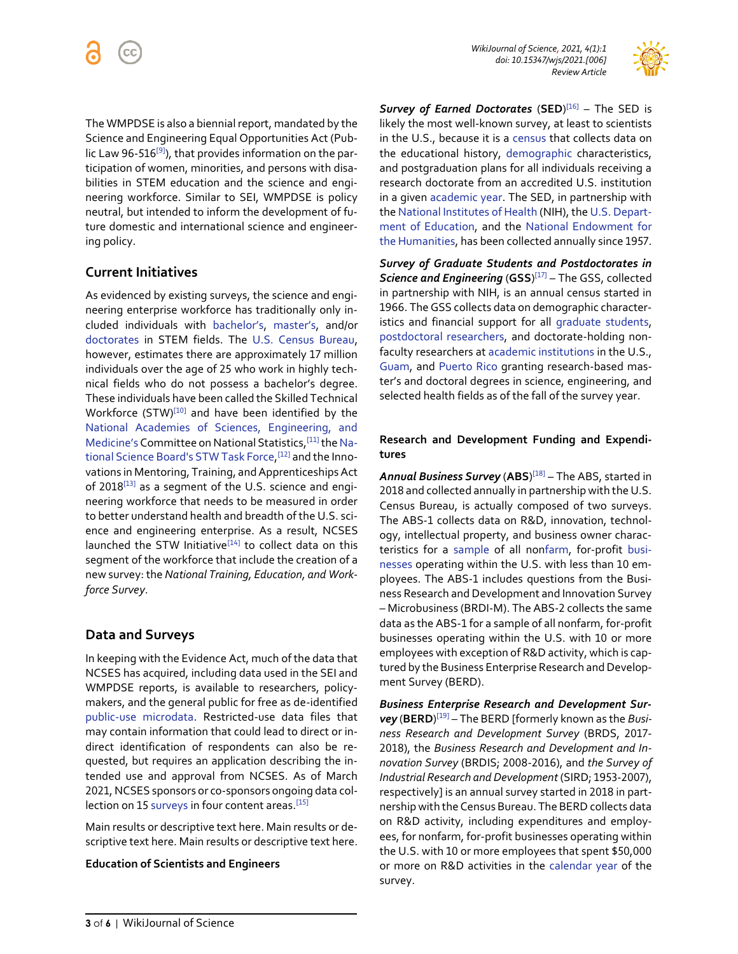



The WMPDSE is also a biennial report, mandated by the Science and Engineering Equal Opportunities Act (Pub-lic Law 96-516<sup>[\[9\]](https://en.wikiversity.org/wiki/WikiJournal_of_Science/%E2%80%9CCollect,_acquire,_analyze,_report,_and_disseminate_statistical_data_related_to_the_science_and_engineering_enterprise%E2%80%A6%E2%80%9D:_The_National_Center_for_Science_and_Engineering_Statistics#cite_note-11)</sup>), that provides information on the participation of women, minorities, and persons with disabilities in STEM education and the science and engineering workforce. Similar to SEI, WMPDSE is policy neutral, but intended to inform the development of future domestic and international science and engineering policy.

### **Current Initiatives**

As evidenced by existing surveys, the science and engineering enterprise workforce has traditionally only included individuals with [bachelor's,](https://en.wikipedia.org/wiki/Bachelor%27s_degree) [master's,](https://en.wikipedia.org/wiki/Master%27s_degree) and/or [doctorates](https://en.wikipedia.org/wiki/Doctorate) in STEM fields. The [U.S. Census Bureau,](https://en.wikipedia.org/wiki/United_States_Census_Bureau) however, estimates there are approximately 17 million individuals over the age of 25 who work in highly technical fields who do not possess a bachelor's degree. These individuals have been called the Skilled Technical Workforce (STW)<sup>[\[10\]](https://en.wikiversity.org/wiki/WikiJournal_of_Science/%E2%80%9CCollect,_acquire,_analyze,_report,_and_disseminate_statistical_data_related_to_the_science_and_engineering_enterprise%E2%80%A6%E2%80%9D:_The_National_Center_for_Science_and_Engineering_Statistics#cite_note-12)</sup> and have been identified by the [National Academies of Sciences, Engineering, and](https://en.wikipedia.org/wiki/National_Academies_of_Sciences,_Engineering,_and_Medicine)  [Medicine's](https://en.wikipedia.org/wiki/National_Academies_of_Sciences,_Engineering,_and_Medicine) Committee on National Statistics, [\[11\]](https://en.wikiversity.org/wiki/WikiJournal_of_Science/%E2%80%9CCollect,_acquire,_analyze,_report,_and_disseminate_statistical_data_related_to_the_science_and_engineering_enterprise%E2%80%A6%E2%80%9D:_The_National_Center_for_Science_and_Engineering_Statistics#cite_note-13) th[e Na](https://en.wikipedia.org/wiki/National_Science_Board#Work_of_the_National_Science_Board)[tional Science Board's STW Task Force,](https://en.wikipedia.org/wiki/National_Science_Board#Work_of_the_National_Science_Board) [\[12\]](https://en.wikiversity.org/wiki/WikiJournal_of_Science/%E2%80%9CCollect,_acquire,_analyze,_report,_and_disseminate_statistical_data_related_to_the_science_and_engineering_enterprise%E2%80%A6%E2%80%9D:_The_National_Center_for_Science_and_Engineering_Statistics#cite_note-14) and the Innovations in Mentoring, Training, and Apprenticeships Act of 2018 $^{[13]}$  $^{[13]}$  $^{[13]}$  as a segment of the U.S. science and engineering workforce that needs to be measured in order to better understand health and breadth of the U.S. science and engineering enterprise. As a result, NCSES launched the STW Initiative<sup>[\[14\]](https://en.wikiversity.org/wiki/WikiJournal_of_Science/%E2%80%9CCollect,_acquire,_analyze,_report,_and_disseminate_statistical_data_related_to_the_science_and_engineering_enterprise%E2%80%A6%E2%80%9D:_The_National_Center_for_Science_and_Engineering_Statistics#cite_note-16)</sup> to collect data on this segment of the workforce that include the creation of a new survey: the *National Training, Education, and Workforce Survey*.

### **Data and Surveys**

In keeping with the Evidence Act, much of the data that NCSES has acquired, including data used in the SEI and WMPDSE reports, is available to researchers, policymakers, and the general public for free as de-identified [public-use](https://en.wikipedia.org/wiki/Public_use) [microdata.](https://en.wikipedia.org/wiki/Microdata_(statistics)) Restricted-use data files that may contain information that could lead to direct or indirect identification of respondents can also be requested, but requires an application describing the intended use and approval from NCSES. As of March 2021, NCSES sponsors or co-sponsors ongoing data col-lection on 1[5 surveys](https://en.wikipedia.org/wiki/Survey_(human_research)) in four content areas.<sup>[\[15\]](https://en.wikiversity.org/wiki/WikiJournal_of_Science/%E2%80%9CCollect,_acquire,_analyze,_report,_and_disseminate_statistical_data_related_to_the_science_and_engineering_enterprise%E2%80%A6%E2%80%9D:_The_National_Center_for_Science_and_Engineering_Statistics#cite_note-17)</sup>

Main results or descriptive text here. Main results or descriptive text here. Main results or descriptive text here.

**Education of Scientists and Engineers**

*Survey of Earned Doctorates* (**SED**) [\[16\]](https://en.wikiversity.org/wiki/WikiJournal_of_Science/%E2%80%9CCollect,_acquire,_analyze,_report,_and_disseminate_statistical_data_related_to_the_science_and_engineering_enterprise%E2%80%A6%E2%80%9D:_The_National_Center_for_Science_and_Engineering_Statistics#cite_note-18) – The SED is likely the most well-known survey, at least to scientists in the U.S., because it is a [census](https://en.wikipedia.org/wiki/Census) that collects data on the educational history, [demographic](https://en.wikipedia.org/wiki/Demography) characteristics, and postgraduation plans for all individuals receiving a research doctorate from an accredited U.S. institution in a given [academic year.](https://en.wikipedia.org/wiki/Academic_year) The SED, in partnership with th[e National Institutes of Health](https://en.wikipedia.org/wiki/National_Institutes_of_Health) (NIH), th[e U.S. Depart](https://en.wikipedia.org/wiki/United_States_Department_of_Education)[ment of Education,](https://en.wikipedia.org/wiki/United_States_Department_of_Education) and the [National Endowment for](https://en.wikipedia.org/wiki/National_Endowment_for_the_Humanities)  [the Humanities,](https://en.wikipedia.org/wiki/National_Endowment_for_the_Humanities) has been collected annually since 1957.

*Survey of Graduate Students and Postdoctorates in Science and Engineering* (**GSS**) [\[17\]](https://en.wikiversity.org/wiki/WikiJournal_of_Science/%E2%80%9CCollect,_acquire,_analyze,_report,_and_disseminate_statistical_data_related_to_the_science_and_engineering_enterprise%E2%80%A6%E2%80%9D:_The_National_Center_for_Science_and_Engineering_Statistics#cite_note-19) – The GSS, collected in partnership with NIH, is an annual census started in 1966. The GSS collects data on demographic characteristics and financial support for all [graduate students,](https://en.wikipedia.org/wiki/Graduate_school) [postdoctoral researchers,](https://en.wikipedia.org/wiki/Postdoctoral_researcher) and doctorate-holding nonfaculty researchers a[t academic institutions](https://en.wikipedia.org/wiki/Academic_institution) in the U.S., [Guam,](https://en.wikipedia.org/wiki/Guam) and [Puerto Rico](https://en.wikipedia.org/wiki/Puerto_Rico) granting research-based master's and doctoral degrees in science, engineering, and selected health fields as of the fall of the survey year.

#### **Research and Development Funding and Expenditures**

*Annual Business Survey* (**ABS**) [\[18\]](https://en.wikiversity.org/wiki/WikiJournal_of_Science/%E2%80%9CCollect,_acquire,_analyze,_report,_and_disseminate_statistical_data_related_to_the_science_and_engineering_enterprise%E2%80%A6%E2%80%9D:_The_National_Center_for_Science_and_Engineering_Statistics#cite_note-20) – The ABS, started in 2018 and collected annually in partnership with the U.S. Census Bureau, is actually composed of two surveys. The ABS-1 collects data on R&D, innovation, technology, intellectual property, and business owner characteristics for a [sample](https://en.wikipedia.org/wiki/Sample_(statistics)) of all no[nfarm,](https://en.wikipedia.org/wiki/Farm) for-profit [busi](https://en.wikipedia.org/wiki/Business)[nesses](https://en.wikipedia.org/wiki/Business) operating within the U.S. with less than 10 employees. The ABS-1 includes questions from the Business Research and Development and Innovation Survey – Microbusiness (BRDI-M). The ABS-2 collects the same data as the ABS-1 for a sample of all nonfarm, for-profit businesses operating within the U.S. with 10 or more employees with exception of R&D activity, which is captured by the Business Enterprise Research and Development Survey (BERD).

*Business Enterprise Research and Development Survey* (**BERD**) [\[19\]](https://en.wikiversity.org/wiki/WikiJournal_of_Science/%E2%80%9CCollect,_acquire,_analyze,_report,_and_disseminate_statistical_data_related_to_the_science_and_engineering_enterprise%E2%80%A6%E2%80%9D:_The_National_Center_for_Science_and_Engineering_Statistics#cite_note-21) – The BERD [formerly known as the *Business Research and Development Survey* (BRDS, 2017- 2018), the *Business Research and Development and Innovation Survey* (BRDIS; 2008-2016), and *the Survey of Industrial Research and Development* (SIRD; 1953-2007), respectively] is an annual survey started in 2018 in partnership with the Census Bureau. The BERD collects data on R&D activity, including expenditures and employees, for nonfarm, for-profit businesses operating within the U.S. with 10 or more employees that spent \$50,000 or more on R&D activities in the [calendar year](https://en.wikipedia.org/wiki/Calendar_year) of the survey.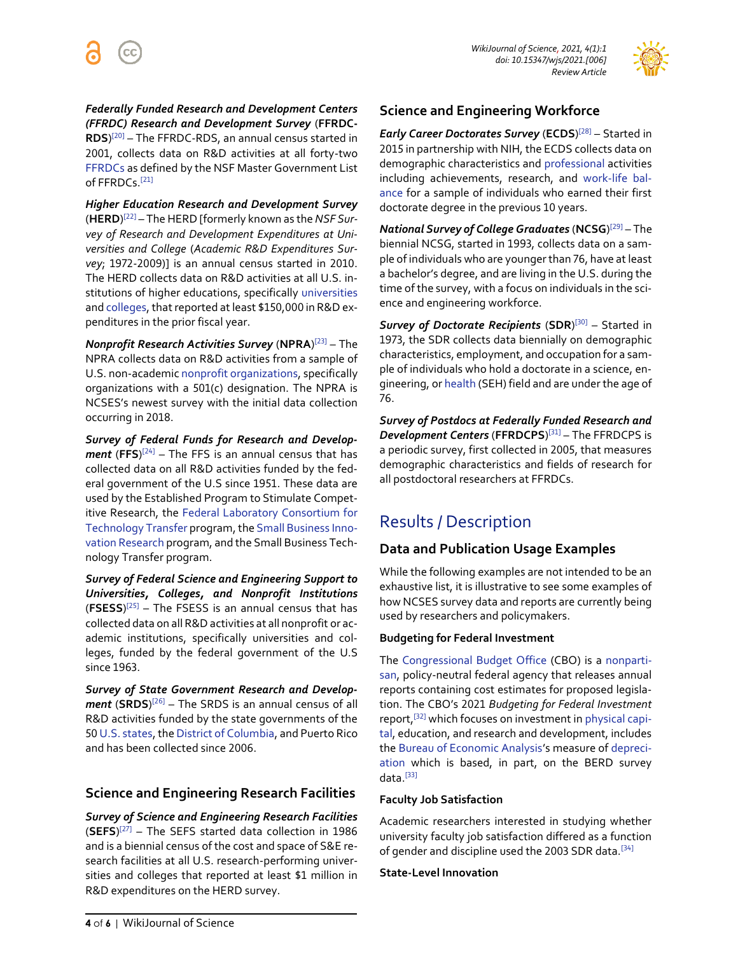



*Federally Funded Research and Development Centers (FFRDC) Research and Development Survey* (**FFRDC-RDS**) [\[20\]](https://en.wikiversity.org/wiki/WikiJournal_of_Science/%E2%80%9CCollect,_acquire,_analyze,_report,_and_disseminate_statistical_data_related_to_the_science_and_engineering_enterprise%E2%80%A6%E2%80%9D:_The_National_Center_for_Science_and_Engineering_Statistics#cite_note-22) – The FFRDC-RDS, an annual census started in 2001, collects data on R&D activities at all forty-two [FFRDCs](https://en.wikipedia.org/wiki/Federally_funded_research_and_development_centers) as defined by the NSF Master Government List of FFRDCs.[\[21\]](https://en.wikiversity.org/wiki/WikiJournal_of_Science/%E2%80%9CCollect,_acquire,_analyze,_report,_and_disseminate_statistical_data_related_to_the_science_and_engineering_enterprise%E2%80%A6%E2%80%9D:_The_National_Center_for_Science_and_Engineering_Statistics#cite_note-23)

*Higher Education Research and Development Survey* (**HERD**) [\[22\]](https://en.wikiversity.org/wiki/WikiJournal_of_Science/%E2%80%9CCollect,_acquire,_analyze,_report,_and_disseminate_statistical_data_related_to_the_science_and_engineering_enterprise%E2%80%A6%E2%80%9D:_The_National_Center_for_Science_and_Engineering_Statistics#cite_note-24) – The HERD [formerly known as the *NSF Survey of Research and Development Expenditures at Universities and College* (*Academic R&D Expenditures Survey*; 1972-2009)] is an annual census started in 2010. The HERD collects data on R&D activities at all U.S. institutions of higher educations, specifically [universities](https://en.wikipedia.org/wiki/University) an[d colleges,](https://en.wikipedia.org/wiki/College) that reported at least \$150,000 in R&D expenditures in the prior fiscal year.

*Nonprofit Research Activities Survey* (**NPRA**) [\[23\]](https://en.wikiversity.org/wiki/WikiJournal_of_Science/%E2%80%9CCollect,_acquire,_analyze,_report,_and_disseminate_statistical_data_related_to_the_science_and_engineering_enterprise%E2%80%A6%E2%80%9D:_The_National_Center_for_Science_and_Engineering_Statistics#cite_note-25) – The NPRA collects data on R&D activities from a sample of U.S. non-academi[c nonprofit organizations,](https://en.wikipedia.org/wiki/Nonprofit_organization) specifically organizations with a 501(c) designation. The NPRA is NCSES's newest survey with the initial data collection occurring in 2018.

*Survey of Federal Funds for Research and Development* (**FFS**) [\[24\]](https://en.wikiversity.org/wiki/WikiJournal_of_Science/%E2%80%9CCollect,_acquire,_analyze,_report,_and_disseminate_statistical_data_related_to_the_science_and_engineering_enterprise%E2%80%A6%E2%80%9D:_The_National_Center_for_Science_and_Engineering_Statistics#cite_note-26) – The FFS is an annual census that has collected data on all R&D activities funded by the federal government of the U.S since 1951. These data are used by the Established Program to Stimulate Competitive Research, the [Federal Laboratory Consortium for](https://en.wikipedia.org/wiki/Federal_Laboratory_Consortium)  [Technology Transfer](https://en.wikipedia.org/wiki/Federal_Laboratory_Consortium) program, th[e Small Business Inno](https://en.wikipedia.org/wiki/Small_Business_Innovation_Research)[vation Research](https://en.wikipedia.org/wiki/Small_Business_Innovation_Research) program, and the Small Business Technology Transfer program.

*Survey of Federal Science and Engineering Support to Universities, Colleges, and Nonprofit Institutions* (**FSESS**) [\[25\]](https://en.wikiversity.org/wiki/WikiJournal_of_Science/%E2%80%9CCollect,_acquire,_analyze,_report,_and_disseminate_statistical_data_related_to_the_science_and_engineering_enterprise%E2%80%A6%E2%80%9D:_The_National_Center_for_Science_and_Engineering_Statistics#cite_note-27) – The FSESS is an annual census that has collected data on all R&D activities at all nonprofit or academic institutions, specifically universities and colleges, funded by the federal government of the U.S since 1963.

*Survey of State Government Research and Development* (**SRDS**) [\[26\]](https://en.wikiversity.org/wiki/WikiJournal_of_Science/%E2%80%9CCollect,_acquire,_analyze,_report,_and_disseminate_statistical_data_related_to_the_science_and_engineering_enterprise%E2%80%A6%E2%80%9D:_The_National_Center_for_Science_and_Engineering_Statistics#cite_note-28) – The SRDS is an annual census of all R&D activities funded by the state governments of the 5[0 U.S. states,](https://en.wikipedia.org/wiki/U.S._state) th[e District of Columbia,](https://en.wikipedia.org/wiki/Washington,_DC) and Puerto Rico and has been collected since 2006.

## **Science and Engineering Research Facilities**

*Survey of Science and Engineering Research Facilities* (**SEFS**) [\[27\]](https://en.wikiversity.org/wiki/WikiJournal_of_Science/%E2%80%9CCollect,_acquire,_analyze,_report,_and_disseminate_statistical_data_related_to_the_science_and_engineering_enterprise%E2%80%A6%E2%80%9D:_The_National_Center_for_Science_and_Engineering_Statistics#cite_note-29) – The SEFS started data collection in 1986 and is a biennial census of the cost and space of S&E research facilities at all U.S. research-performing universities and colleges that reported at least \$1 million in R&D expenditures on the HERD survey.

## **Science and Engineering Workforce**

*Early Career Doctorates Survey* (**ECDS**) [\[28\]](https://en.wikiversity.org/wiki/WikiJournal_of_Science/%E2%80%9CCollect,_acquire,_analyze,_report,_and_disseminate_statistical_data_related_to_the_science_and_engineering_enterprise%E2%80%A6%E2%80%9D:_The_National_Center_for_Science_and_Engineering_Statistics#cite_note-30) – Started in 2015 in partnership with NIH, the ECDS collects data on demographic characteristics and [professional](https://en.wikipedia.org/wiki/Professional) activities including achievements, research, and [work-life bal](https://en.wikipedia.org/wiki/Work%E2%80%93life_balance_in_the_United_States)[ance](https://en.wikipedia.org/wiki/Work%E2%80%93life_balance_in_the_United_States) for a sample of individuals who earned their first doctorate degree in the previous 10 years.

*National Survey of College Graduates* (**NCSG**) [\[29\]](https://en.wikiversity.org/wiki/WikiJournal_of_Science/%E2%80%9CCollect,_acquire,_analyze,_report,_and_disseminate_statistical_data_related_to_the_science_and_engineering_enterprise%E2%80%A6%E2%80%9D:_The_National_Center_for_Science_and_Engineering_Statistics#cite_note-31) – The biennial NCSG, started in 1993, collects data on a sample of individuals who are younger than 76, have at least a bachelor's degree, and are living in the U.S. during the time of the survey, with a focus on individuals in the science and engineering workforce.

*Survey of Doctorate Recipients* (**SDR**) [\[30\]](https://en.wikiversity.org/wiki/WikiJournal_of_Science/%E2%80%9CCollect,_acquire,_analyze,_report,_and_disseminate_statistical_data_related_to_the_science_and_engineering_enterprise%E2%80%A6%E2%80%9D:_The_National_Center_for_Science_and_Engineering_Statistics#cite_note-32) – Started in 1973, the SDR collects data biennially on demographic characteristics, employment, and occupation for a sample of individuals who hold a doctorate in a science, engineering, o[r health](https://en.wikipedia.org/wiki/Health_care) (SEH) field and are under the age of 76.

*Survey of Postdocs at Federally Funded Research and Development Centers* (**FFRDCPS**) [\[31\]](https://en.wikiversity.org/wiki/WikiJournal_of_Science/%E2%80%9CCollect,_acquire,_analyze,_report,_and_disseminate_statistical_data_related_to_the_science_and_engineering_enterprise%E2%80%A6%E2%80%9D:_The_National_Center_for_Science_and_Engineering_Statistics#cite_note-33) – The FFRDCPS is a periodic survey, first collected in 2005, that measures demographic characteristics and fields of research for all postdoctoral researchers at FFRDCs.

# Results / Description

## **Data and Publication Usage Examples**

While the following examples are not intended to be an exhaustive list, it is illustrative to see some examples of how NCSES survey data and reports are currently being used by researchers and policymakers.

#### **Budgeting for Federal Investment**

The [Congressional Budget Office](https://en.wikipedia.org/wiki/Congressional_Budget_Office) (CBO) is a [nonparti](https://en.wikipedia.org/wiki/Nonpartisanism)[san,](https://en.wikipedia.org/wiki/Nonpartisanism) policy-neutral federal agency that releases annual reports containing cost estimates for proposed legislation. The CBO's 2021 *Budgeting for Federal Investment* report,<sup>[\[32\]](https://en.wikiversity.org/wiki/WikiJournal_of_Science/%E2%80%9CCollect,_acquire,_analyze,_report,_and_disseminate_statistical_data_related_to_the_science_and_engineering_enterprise%E2%80%A6%E2%80%9D:_The_National_Center_for_Science_and_Engineering_Statistics#cite_note-34)</sup> which focuses on investment i[n physical capi](https://en.wikipedia.org/wiki/Physical_capital)[tal,](https://en.wikipedia.org/wiki/Physical_capital) education, and research and development, includes the [Bureau of Economic Analysis's](https://en.wikipedia.org/wiki/Bureau_of_Economic_Analysis) measure o[f depreci](https://en.wikipedia.org/wiki/Depreciation)[ation](https://en.wikipedia.org/wiki/Depreciation) which is based, in part, on the BERD survey data. [\[33\]](https://en.wikiversity.org/wiki/WikiJournal_of_Science/%E2%80%9CCollect,_acquire,_analyze,_report,_and_disseminate_statistical_data_related_to_the_science_and_engineering_enterprise%E2%80%A6%E2%80%9D:_The_National_Center_for_Science_and_Engineering_Statistics#cite_note-35)

#### **Faculty Job Satisfaction**

Academic researchers interested in studying whether university faculty job satisfaction differed as a function of gender and discipline used the 2003 SDR data.<sup>[\[34\]](https://en.wikiversity.org/wiki/WikiJournal_of_Science/%E2%80%9CCollect,_acquire,_analyze,_report,_and_disseminate_statistical_data_related_to_the_science_and_engineering_enterprise%E2%80%A6%E2%80%9D:_The_National_Center_for_Science_and_Engineering_Statistics#cite_note-36)</sup>

#### **State-Level Innovation**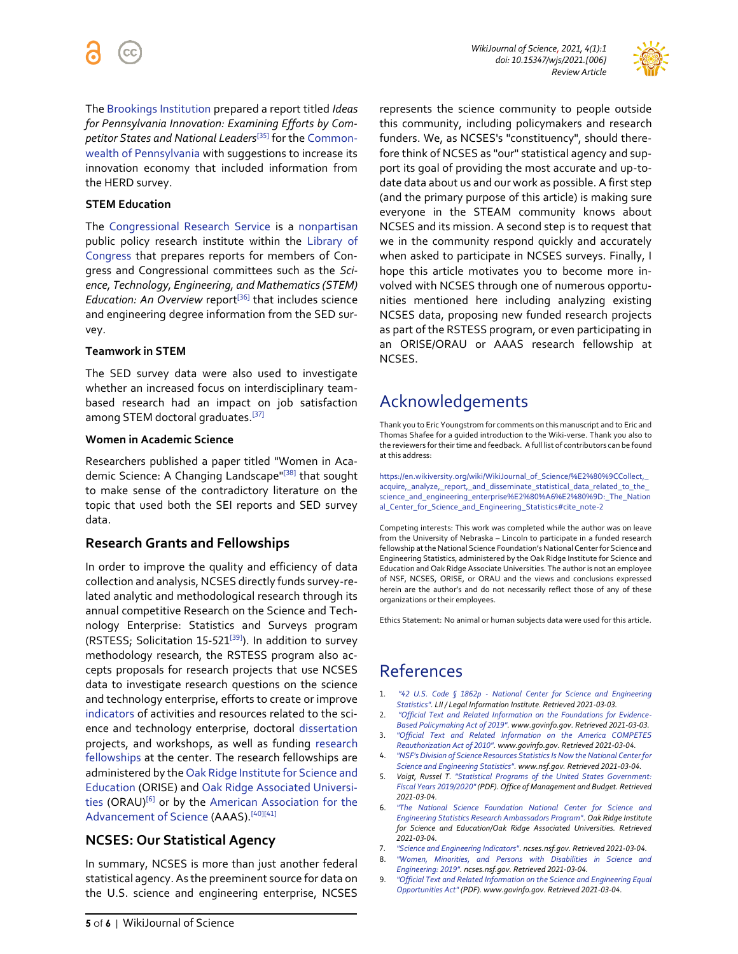



The [Brookings Institution](https://en.wikipedia.org/wiki/Brookings_Institution) prepared a report titled *Ideas for Pennsylvania Innovation: Examining Efforts by Competitor States and National Leaders*[\[35\]](https://en.wikiversity.org/wiki/WikiJournal_of_Science/%E2%80%9CCollect,_acquire,_analyze,_report,_and_disseminate_statistical_data_related_to_the_science_and_engineering_enterprise%E2%80%A6%E2%80%9D:_The_National_Center_for_Science_and_Engineering_Statistics#cite_note-37) for th[e Common](https://en.wikipedia.org/wiki/Pennsylvania)[wealth of Pennsylvania](https://en.wikipedia.org/wiki/Pennsylvania) with suggestions to increase its innovation economy that included information from the HERD survey.

#### **STEM Education**

The [Congressional Research Service](https://en.wikipedia.org/wiki/Congressional_Research_Service) is a [nonpartisan](https://en.wikipedia.org/wiki/Nonpartisanism) public policy research institute within the [Library of](https://en.wikipedia.org/wiki/Library_of_Congress)  [Congress](https://en.wikipedia.org/wiki/Library_of_Congress) that prepares reports for members of Congress and Congressional committees such as the *Science, Technology, Engineering, and Mathematics (STEM) Education: An Overview report<sup>[\[36\]](https://en.wikiversity.org/wiki/WikiJournal_of_Science/%E2%80%9CCollect,_acquire,_analyze,_report,_and_disseminate_statistical_data_related_to_the_science_and_engineering_enterprise%E2%80%A6%E2%80%9D:_The_National_Center_for_Science_and_Engineering_Statistics#cite_note-38)</sup> that includes science* and engineering degree information from the SED survey.

#### **Teamwork in STEM**

The SED survey data were also used to investigate whether an increased focus on interdisciplinary teambased research had an impact on job satisfaction among STEM doctoral graduates.<sup>[\[37\]](https://en.wikiversity.org/wiki/WikiJournal_of_Science/%E2%80%9CCollect,_acquire,_analyze,_report,_and_disseminate_statistical_data_related_to_the_science_and_engineering_enterprise%E2%80%A6%E2%80%9D:_The_National_Center_for_Science_and_Engineering_Statistics#cite_note-39)</sup>

#### **Women in Academic Science**

Researchers published a paper titled "Women in Aca-demic Science: A Changing Landscape"<sup>[\[38\]](https://en.wikiversity.org/wiki/WikiJournal_of_Science/%E2%80%9CCollect,_acquire,_analyze,_report,_and_disseminate_statistical_data_related_to_the_science_and_engineering_enterprise%E2%80%A6%E2%80%9D:_The_National_Center_for_Science_and_Engineering_Statistics#cite_note-40)</sup> that sought to make sense of the contradictory literature on the topic that used both the SEI reports and SED survey data.

#### **Research Grants and Fellowships**

In order to improve the quality and efficiency of data collection and analysis, NCSES directly funds survey-related analytic and methodological research through its annual competitive Research on the Science and Technology Enterprise: Statistics and Surveys program (RSTESS; Solicitation 15-521<sup>[\[39\]](https://en.wikiversity.org/wiki/WikiJournal_of_Science/%E2%80%9CCollect,_acquire,_analyze,_report,_and_disseminate_statistical_data_related_to_the_science_and_engineering_enterprise%E2%80%A6%E2%80%9D:_The_National_Center_for_Science_and_Engineering_Statistics#cite_note-41)</sup>). In addition to survey methodology research, the RSTESS program also accepts proposals for research projects that use NCSES data to investigate research questions on the science and technology enterprise, efforts to create or improve [indicators](https://en.wikipedia.org/wiki/Indicator_(statistics)) of activities and resources related to the science and technology enterprise, doctoral [dissertation](https://en.wikipedia.org/wiki/Thesis) projects, and workshops, as well as funding [research](https://en.wikipedia.org/wiki/Research_fellow)  [fellowships](https://en.wikipedia.org/wiki/Research_fellow) at the center. The research fellowships are administered by th[e Oak Ridge Institute for Science and](https://en.wikipedia.org/wiki/Oak_Ridge_Institute_for_Science_and_Education)  [Education](https://en.wikipedia.org/wiki/Oak_Ridge_Institute_for_Science_and_Education) (ORISE) an[d Oak Ridge Associated Universi](https://en.wikipedia.org/wiki/Oak_Ridge_Associated_Universities)[ties](https://en.wikipedia.org/wiki/Oak_Ridge_Associated_Universities) (ORAU)[\[6\]](https://en.wikiversity.org/wiki/WikiJournal_of_Science/%E2%80%9CCollect,_acquire,_analyze,_report,_and_disseminate_statistical_data_related_to_the_science_and_engineering_enterprise%E2%80%A6%E2%80%9D:_The_National_Center_for_Science_and_Engineering_Statistics#cite_note-:0-8) or by the [American Association for the](https://en.wikipedia.org/wiki/American_Association_for_the_Advancement_of_Science)  [Advancement of Science](https://en.wikipedia.org/wiki/American_Association_for_the_Advancement_of_Science) (AAAS).<sup>[\[40\]](https://en.wikiversity.org/wiki/WikiJournal_of_Science/%E2%80%9CCollect,_acquire,_analyze,_report,_and_disseminate_statistical_data_related_to_the_science_and_engineering_enterprise%E2%80%A6%E2%80%9D:_The_National_Center_for_Science_and_Engineering_Statistics#cite_note-42)[\[41\]](https://en.wikiversity.org/wiki/WikiJournal_of_Science/%E2%80%9CCollect,_acquire,_analyze,_report,_and_disseminate_statistical_data_related_to_the_science_and_engineering_enterprise%E2%80%A6%E2%80%9D:_The_National_Center_for_Science_and_Engineering_Statistics#cite_note-43)</sup>

### **NCSES: Our Statistical Agency**

In summary, NCSES is more than just another federal statistical agency. As the preeminent source for data on the U.S. science and engineering enterprise, NCSES

represents the science community to people outside this community, including policymakers and research funders. We, as NCSES's "constituency", should therefore think of NCSES as "our" statistical agency and support its goal of providing the most accurate and up-todate data about us and our work as possible. A first step (and the primary purpose of this article) is making sure everyone in the STEAM community knows about NCSES and its mission. A second step is to request that we in the community respond quickly and accurately when asked to participate in NCSES surveys. Finally, I hope this article motivates you to become more involved with NCSES through one of numerous opportunities mentioned here including analyzing existing NCSES data, proposing new funded research projects as part of the RSTESS program, or even participating in an ORISE/ORAU or AAAS research fellowship at NCSES.

# Acknowledgements

Thank you to Eric Youngstrom for comments on this manuscript and to Eric and Thomas Shafee for a guided introduction to the Wiki-verse. Thank you also to the reviewers for their time and feedback. A full list of contributors can be found at this address:

[https://en.wikiversity.org/wiki/WikiJournal\\_of\\_Science/%E2%80%9CCollect,\\_](https://en.wikiversity.org/wiki/WikiJournal_of_Science/%E2%80%9CCollect,_acquire,_analyze,_report,_and_disseminate_statistical_data_related_to_the_science_and_engineering_enterprise%E2%80%A6%E2%80%9D:_The_National_Center_for_Science_and_Engineering_Statistics#cite_note-2) [acquire,\\_analyze,\\_report,\\_and\\_disseminate\\_statistical\\_data\\_related\\_to\\_the\\_](https://en.wikiversity.org/wiki/WikiJournal_of_Science/%E2%80%9CCollect,_acquire,_analyze,_report,_and_disseminate_statistical_data_related_to_the_science_and_engineering_enterprise%E2%80%A6%E2%80%9D:_The_National_Center_for_Science_and_Engineering_Statistics#cite_note-2) [science\\_and\\_engineering\\_enterprise%E2%80%A6%E2%80%9D:\\_The\\_Nation](https://en.wikiversity.org/wiki/WikiJournal_of_Science/%E2%80%9CCollect,_acquire,_analyze,_report,_and_disseminate_statistical_data_related_to_the_science_and_engineering_enterprise%E2%80%A6%E2%80%9D:_The_National_Center_for_Science_and_Engineering_Statistics#cite_note-2) [al\\_Center\\_for\\_Science\\_and\\_Engineering\\_Statistics#cite\\_note-2](https://en.wikiversity.org/wiki/WikiJournal_of_Science/%E2%80%9CCollect,_acquire,_analyze,_report,_and_disseminate_statistical_data_related_to_the_science_and_engineering_enterprise%E2%80%A6%E2%80%9D:_The_National_Center_for_Science_and_Engineering_Statistics#cite_note-2)

Competing interests: This work was completed while the author was on leave from the University of Nebraska – Lincoln to participate in a funded research fellowship at the National Science Foundation's National Center for Science and Engineering Statistics, administered by the Oak Ridge Institute for Science and Education and Oak Ridge Associate Universities. The author is not an employee of NSF, NCSES, ORISE, or ORAU and the views and conclusions expressed herein are the author's and do not necessarily reflect those of any of these organizations or their employees.

Ethics Statement: No animal or human subjects data were used for this article.

# References

- 1. *"42 U.S. Code § 1862p - [National Center for Science and Engineering](https://www.law.cornell.edu/uscode/text/42/1862p)  [Statistics".](https://www.law.cornell.edu/uscode/text/42/1862p) LII / Legal Information Institute. Retrieved 2021-03-03.*
- 2. *["Official Text and Related Information on the Foundations for Evidence-](https://www.govinfo.gov/content/pkg/PLAW-115publ435/html/PLAW-115publ435.htm)[Based Policymaking Act of](https://www.govinfo.gov/content/pkg/PLAW-115publ435/html/PLAW-115publ435.htm) 2019". www.govinfo.gov. Retrieved 2021-03-03.*
- 3. *["Official Text and Related Information on the America COMPETES](https://www.govinfo.gov/content/pkg/PLAW-111publ358/html/PLAW-111publ358.htm)  [Reauthorization Act of 2010".](https://www.govinfo.gov/content/pkg/PLAW-111publ358/html/PLAW-111publ358.htm) www.govinfo.gov. Retrieved 2021-03-04.*
- 4. *["NSF's Division of Science Resources Statistics Is Now the National Center for](https://www.nsf.gov/news/news_summ.jsp?cntn_id=118648)  [Science and Engineering Statistics".](https://www.nsf.gov/news/news_summ.jsp?cntn_id=118648) www.nsf.gov. Retrieved 2021-03-04.*
- 5. *Voigt, Russel T. ["Statistical Programs of the United States Government:](https://www.whitehouse.gov/wp-content/uploads/2020/12/statistical-programs-20192020.pdf)  [Fiscal Years 2019/2020"](https://www.whitehouse.gov/wp-content/uploads/2020/12/statistical-programs-20192020.pdf) (PDF). Office of Management and Budget. Retrieved 2021-03-04.*
- 6. *["The National Science Foundation National Center for Science and](https://orise.orau.gov/ncses/index.html)  [Engineering Statistics Research Ambassadors Program".](https://orise.orau.gov/ncses/index.html) Oak Ridge Institute for Science and Education/Oak Ridge Associated Universities. Retrieved 2021-03-04.*
- 7. *["Science and Engineering Indicators".](https://ncses.nsf.gov/indicators) ncses.nsf.gov. Retrieved 2021-03-04.*
- 8. *["Women, Minorities, and Persons with Disabilities in Science and](https://ncses.nsf.gov/pubs/nsf19304/digest)  [Engineering: 2019".](https://ncses.nsf.gov/pubs/nsf19304/digest) ncses.nsf.gov. Retrieved 2021-03-04.*
- 9. *["Official Text and Related Information on the Science and Engineering Equal](https://www.govinfo.gov/content/pkg/STATUTE-94/pdf/STATUTE-94-Pg3007.pdf#page=6)  [Opportunities Act"](https://www.govinfo.gov/content/pkg/STATUTE-94/pdf/STATUTE-94-Pg3007.pdf#page=6) (PDF). www.govinfo.gov. Retrieved 2021-03-04.*